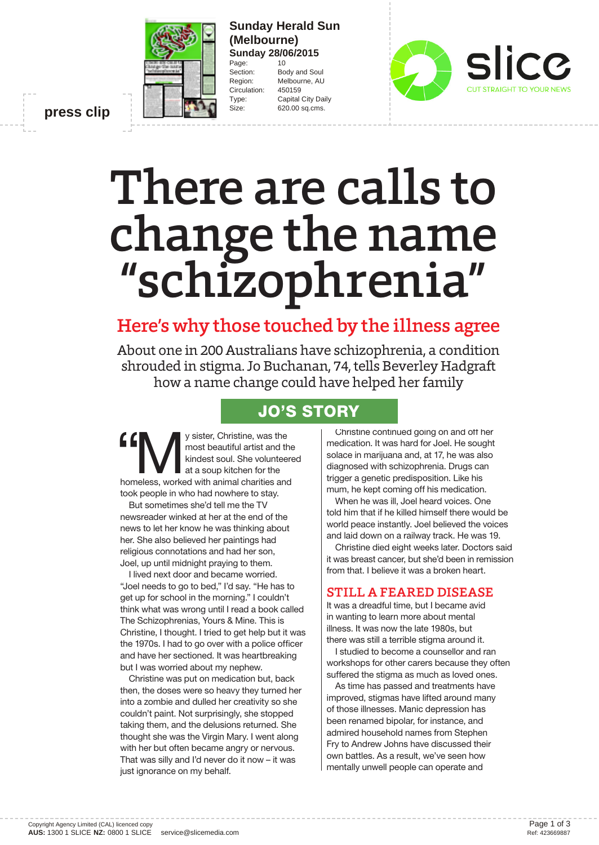

#### **Sunday Herald Sun (Melbourne) Sunday 28/06/2015** Page: 10

Section: Body and Soul Region: Melbourne, AU Circulation: 450159 Type: Capital City Daily Size: 620.00 sq.cms.

**press clip**

# There are calls to change the name "schizophrenia"

# Here's why those touched by the illness agree

About one in 200 Australians have schizophrenia, a condition shrouded in stigma. Jo Buchanan, 74, tells Beverley Hadgraft how a name change could have helped her family

## **JO'S STORY**

**f Community** Sister, Christine, was the most beautiful artist and the kindest soul. She volunteered at a soup kitchen for the homeless, worked with animal charities and most beautiful artist and the kindest soul. She volunteered at a soup kitchen for the took people in who had nowhere to stay.

But sometimes she'd tell me the TV newsreader winked at her at the end of the news to let her know he was thinking about her. She also believed her paintings had religious connotations and had her son, Joel, up until midnight praying to them.

I lived next door and became worried. "Joel needs to go to bed," I'd say. "He has to get up for school in the morning." I couldn't think what was wrong until I read a book called The Schizophrenias, Yours & Mine. This is Christine, I thought. I tried to get help but it was the 1970s. I had to go over with a police officer and have her sectioned. It was heartbreaking but I was worried about my nephew.

Christine was put on medication but, back then, the doses were so heavy they turned her into a zombie and dulled her creativity so she couldn't paint. Not surprisingly, she stopped taking them, and the delusions returned. She thought she was the Virgin Mary. I went along with her but often became angry or nervous. That was silly and I'd never do it now – it was just ignorance on my behalf.

Christine continued going on and off her medication. It was hard for Joel. He sought solace in marijuana and, at 17, he was also diagnosed with schizophrenia. Drugs can trigger a genetic predisposition. Like his mum, he kept coming off his medication.

When he was ill, Joel heard voices. One told him that if he killed himself there would be world peace instantly. Joel believed the voices and laid down on a railway track. He was 19.

Christine died eight weeks later. Doctors said it was breast cancer, but she'd been in remission from that. I believe it was a broken heart.

#### STILL A FEARED DISEASE

It was a dreadful time, but I became avid in wanting to learn more about mental illness. It was now the late 1980s, but there was still a terrible stigma around it.

I studied to become a counsellor and ran workshops for other carers because they often suffered the stigma as much as loved ones.

As time has passed and treatments have improved, stigmas have lifted around many of those illnesses. Manic depression has been renamed bipolar, for instance, and admired household names from Stephen Fry to Andrew Johns have discussed their own battles. As a result, we've seen how mentally unwell people can operate and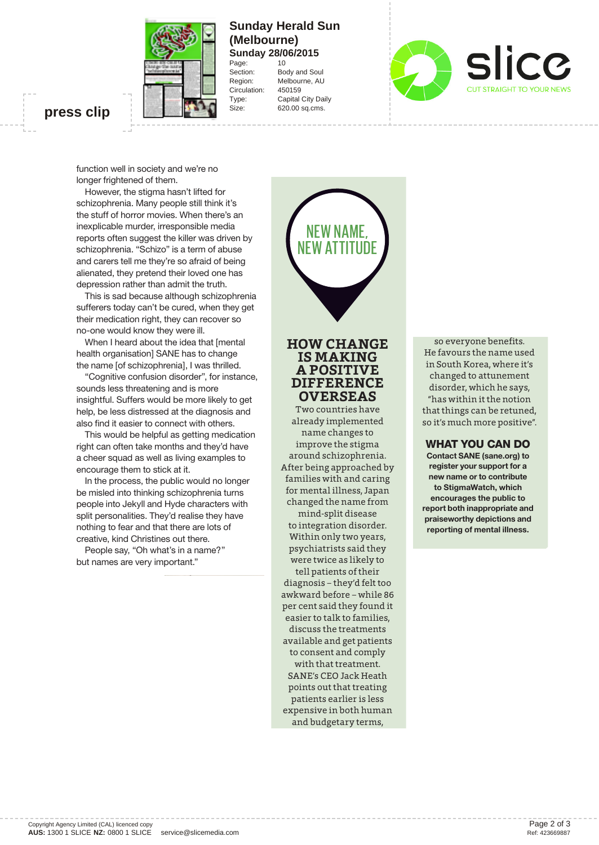

#### **Sunday Herald Sun (Melbourne) Sunday 28/06/2015** Page: 10

Circulation:

Section: Body and Soul Region: Melbourne, AU<br>Circulation: 450159 Type: Capital City Daily Size: 620.00 sq.cms.



### **press clip**

function well in society and we're no longer frightened of them.

However, the stigma hasn't lifted for schizophrenia. Many people still think it's the stuff of horror movies. When there's an inexplicable murder, irresponsible media reports often suggest the killer was driven by schizophrenia. "Schizo" is a term of abuse and carers tell me they're so afraid of being alienated, they pretend their loved one has depression rather than admit the truth.

This is sad because although schizophrenia sufferers today can't be cured, when they get their medication right, they can recover so no-one would know they were ill.

When I heard about the idea that [mental health organisation] SANE has to change the name [of schizophrenia], I was thrilled.

"Cognitive confusion disorder", for instance, sounds less threatening and is more insightful. Suffers would be more likely to get help, be less distressed at the diagnosis and also find it easier to connect with others.

This would be helpful as getting medication right can often take months and they'd have a cheer squad as well as living examples to encourage them to stick at it.

In the process, the public would no longer be misled into thinking schizophrenia turns people into Jekyll and Hyde characters with split personalities. They'd realise they have nothing to fear and that there are lots of creative, kind Christines out there.

People say, "Oh what's in a name?" but names are very important."

# NEW NAME, NEW ATTITUDE

## **HOW CHANGE IS MAKING A POSITIVE <sup>A</sup> DIFFERENCE OVERSEAS**

Two countries have already implemented name changes to improve the stigma around schizophrenia. After being approached by families with and caring for mental illness, Japan changed the name from

mind-split disease to integration disorder. Within only two years, psychiatrists said they were twice as likely to tell patients of their diagnosis – they'd felt too awkward before – while 86 per cent said they found it easier to talk to families, discuss the treatments available and get patients to consent and comply with that treatment. SANE's CEO Jack Heath points out that treating patients earlier is less expensive in both human and budgetary terms,

so everyone benefits. He favours the name used in South Korea, where it's changed to attunement disorder, which he says, "has within it the notion that things can be retuned, so it's much more positive".

#### **WHAT YOU CAN DO**

**Contact SANE (sane.org) to register your support for a new name or to contribute to StigmaWatch, which encourages the public to report both inappropriate and praiseworthy depictions and reporting of mental illness.**